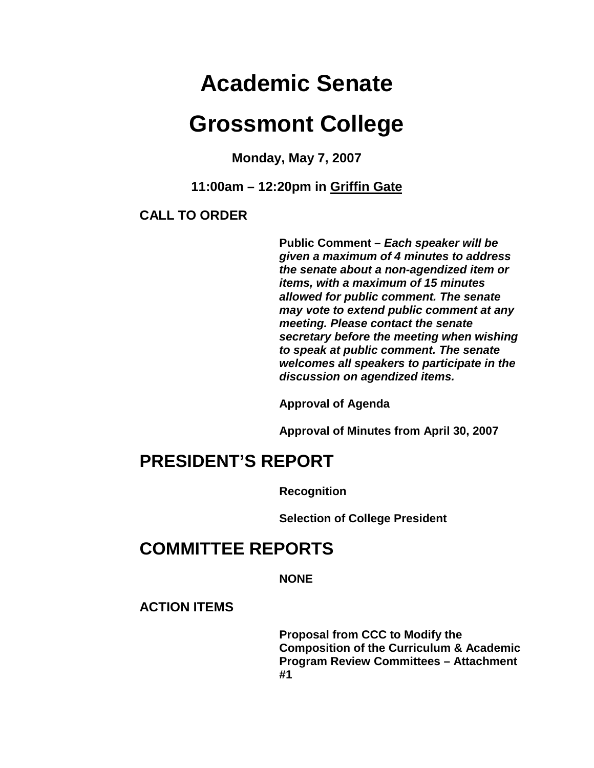# **Academic Senate**

# **Grossmont College**

**Monday, May 7, 2007**

**11:00am – 12:20pm in Griffin Gate**

#### **CALL TO ORDER**

**Public Comment –** *Each speaker will be given a maximum of 4 minutes to address the senate about a non-agendized item or items, with a maximum of 15 minutes allowed for public comment. The senate may vote to extend public comment at any meeting. Please contact the senate secretary before the meeting when wishing to speak at public comment. The senate welcomes all speakers to participate in the discussion on agendized items.*

**Approval of Agenda**

**Approval of Minutes from April 30, 2007**

# **PRESIDENT'S REPORT**

**Recognition** 

**Selection of College President** 

# **COMMITTEE REPORTS**

**NONE** 

**ACTION ITEMS**

**Proposal from CCC to Modify the Composition of the Curriculum & Academic Program Review Committees – Attachment #1**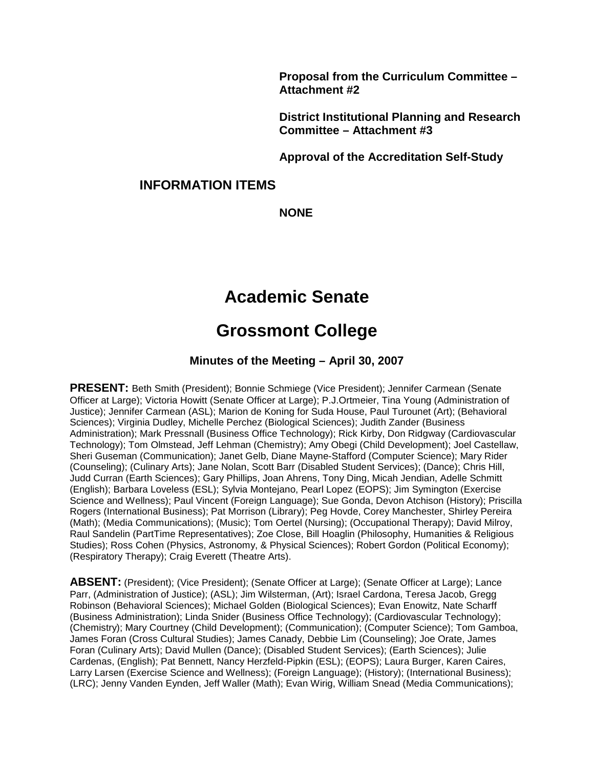**Proposal from the Curriculum Committee – Attachment #2** 

**District Institutional Planning and Research Committee – Attachment #3**

**Approval of the Accreditation Self-Study**

#### **INFORMATION ITEMS**

**NONE**

## **Academic Senate**

### **Grossmont College**

#### **Minutes of the Meeting – April 30, 2007**

**PRESENT:** Beth Smith (President); Bonnie Schmiege (Vice President); Jennifer Carmean (Senate Officer at Large); Victoria Howitt (Senate Officer at Large); P.J.Ortmeier, Tina Young (Administration of Justice); Jennifer Carmean (ASL); Marion de Koning for Suda House, Paul Turounet (Art); (Behavioral Sciences); Virginia Dudley, Michelle Perchez (Biological Sciences); Judith Zander (Business Administration); Mark Pressnall (Business Office Technology); Rick Kirby, Don Ridgway (Cardiovascular Technology); Tom Olmstead, Jeff Lehman (Chemistry); Amy Obegi (Child Development); Joel Castellaw, Sheri Guseman (Communication); Janet Gelb, Diane Mayne-Stafford (Computer Science); Mary Rider (Counseling); (Culinary Arts); Jane Nolan, Scott Barr (Disabled Student Services); (Dance); Chris Hill, Judd Curran (Earth Sciences); Gary Phillips, Joan Ahrens, Tony Ding, Micah Jendian, Adelle Schmitt (English); Barbara Loveless (ESL); Sylvia Montejano, Pearl Lopez (EOPS); Jim Symington (Exercise Science and Wellness); Paul Vincent (Foreign Language); Sue Gonda, Devon Atchison (History); Priscilla Rogers (International Business); Pat Morrison (Library); Peg Hovde, Corey Manchester, Shirley Pereira (Math); (Media Communications); (Music); Tom Oertel (Nursing); (Occupational Therapy); David Milroy, Raul Sandelin (PartTime Representatives); Zoe Close, Bill Hoaglin (Philosophy, Humanities & Religious Studies); Ross Cohen (Physics, Astronomy, & Physical Sciences); Robert Gordon (Political Economy); (Respiratory Therapy); Craig Everett (Theatre Arts).

**ABSENT:** (President); (Vice President); (Senate Officer at Large); (Senate Officer at Large); Lance Parr, (Administration of Justice); (ASL); Jim Wilsterman, (Art); Israel Cardona, Teresa Jacob, Gregg Robinson (Behavioral Sciences); Michael Golden (Biological Sciences); Evan Enowitz, Nate Scharff (Business Administration); Linda Snider (Business Office Technology); (Cardiovascular Technology); (Chemistry); Mary Courtney (Child Development); (Communication); (Computer Science); Tom Gamboa, James Foran (Cross Cultural Studies); James Canady, Debbie Lim (Counseling); Joe Orate, James Foran (Culinary Arts); David Mullen (Dance); (Disabled Student Services); (Earth Sciences); Julie Cardenas, (English); Pat Bennett, Nancy Herzfeld-Pipkin (ESL); (EOPS); Laura Burger, Karen Caires, Larry Larsen (Exercise Science and Wellness); (Foreign Language); (History); (International Business); (LRC); Jenny Vanden Eynden, Jeff Waller (Math); Evan Wirig, William Snead (Media Communications);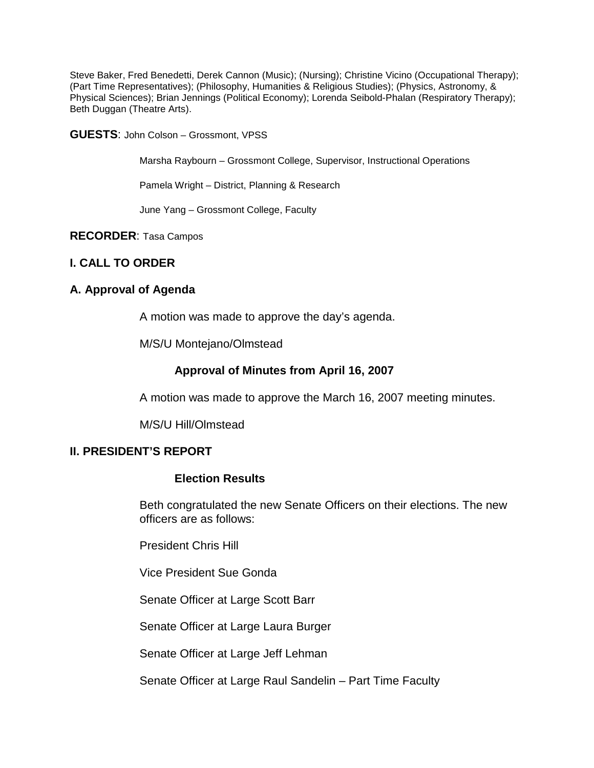Steve Baker, Fred Benedetti, Derek Cannon (Music); (Nursing); Christine Vicino (Occupational Therapy); (Part Time Representatives); (Philosophy, Humanities & Religious Studies); (Physics, Astronomy, & Physical Sciences); Brian Jennings (Political Economy); Lorenda Seibold-Phalan (Respiratory Therapy); Beth Duggan (Theatre Arts).

**GUESTS**: John Colson – Grossmont, VPSS

Marsha Raybourn – Grossmont College, Supervisor, Instructional Operations

Pamela Wright – District, Planning & Research

June Yang – Grossmont College, Faculty

#### **RECORDER**: Tasa Campos

#### **I. CALL TO ORDER**

#### **A. Approval of Agenda**

A motion was made to approve the day's agenda.

M/S/U Montejano/Olmstead

#### **Approval of Minutes from April 16, 2007**

A motion was made to approve the March 16, 2007 meeting minutes.

M/S/U Hill/Olmstead

#### **II. PRESIDENT'S REPORT**

#### **Election Results**

Beth congratulated the new Senate Officers on their elections. The new officers are as follows:

President Chris Hill

Vice President Sue Gonda

Senate Officer at Large Scott Barr

Senate Officer at Large Laura Burger

Senate Officer at Large Jeff Lehman

Senate Officer at Large Raul Sandelin – Part Time Faculty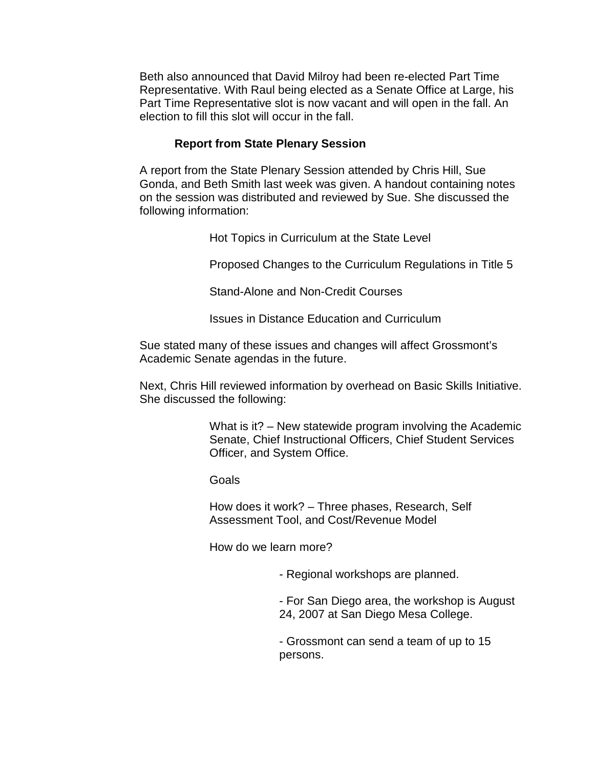Beth also announced that David Milroy had been re-elected Part Time Representative. With Raul being elected as a Senate Office at Large, his Part Time Representative slot is now vacant and will open in the fall. An election to fill this slot will occur in the fall.

#### **Report from State Plenary Session**

A report from the State Plenary Session attended by Chris Hill, Sue Gonda, and Beth Smith last week was given. A handout containing notes on the session was distributed and reviewed by Sue. She discussed the following information:

Hot Topics in Curriculum at the State Level

Proposed Changes to the Curriculum Regulations in Title 5

Stand-Alone and Non-Credit Courses

Issues in Distance Education and Curriculum

Sue stated many of these issues and changes will affect Grossmont's Academic Senate agendas in the future.

Next, Chris Hill reviewed information by overhead on Basic Skills Initiative. She discussed the following:

> What is it? – New statewide program involving the Academic Senate, Chief Instructional Officers, Chief Student Services Officer, and System Office.

Goals

How does it work? – Three phases, Research, Self Assessment Tool, and Cost/Revenue Model

How do we learn more?

- Regional workshops are planned.

- For San Diego area, the workshop is August 24, 2007 at San Diego Mesa College.

- Grossmont can send a team of up to 15 persons.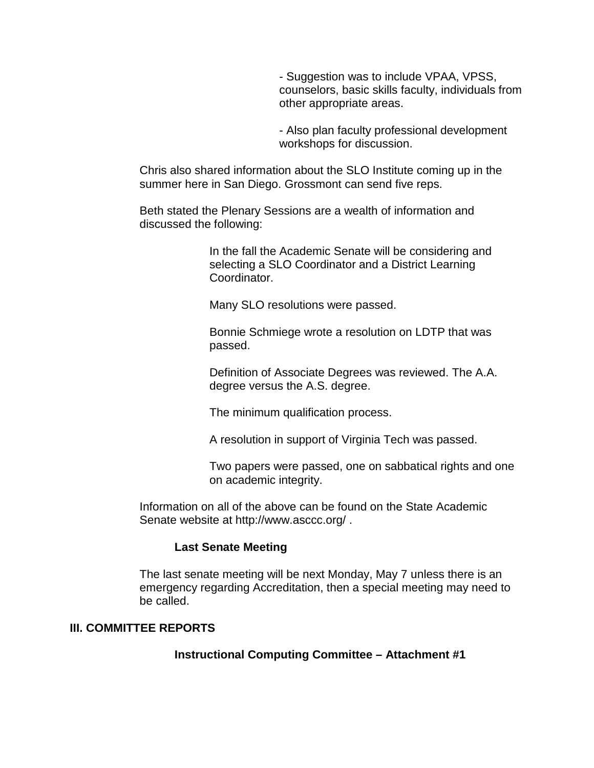- Suggestion was to include VPAA, VPSS, counselors, basic skills faculty, individuals from other appropriate areas.

- Also plan faculty professional development workshops for discussion.

Chris also shared information about the SLO Institute coming up in the summer here in San Diego. Grossmont can send five reps.

Beth stated the Plenary Sessions are a wealth of information and discussed the following:

> In the fall the Academic Senate will be considering and selecting a SLO Coordinator and a District Learning Coordinator.

Many SLO resolutions were passed.

Bonnie Schmiege wrote a resolution on LDTP that was passed.

Definition of Associate Degrees was reviewed. The A.A. degree versus the A.S. degree.

The minimum qualification process.

A resolution in support of Virginia Tech was passed.

Two papers were passed, one on sabbatical rights and one on academic integrity.

Information on all of the above can be found on the State Academic Senate website at http://www.asccc.org/ .

#### **Last Senate Meeting**

The last senate meeting will be next Monday, May 7 unless there is an emergency regarding Accreditation, then a special meeting may need to be called.

#### **III. COMMITTEE REPORTS**

**Instructional Computing Committee – Attachment #1**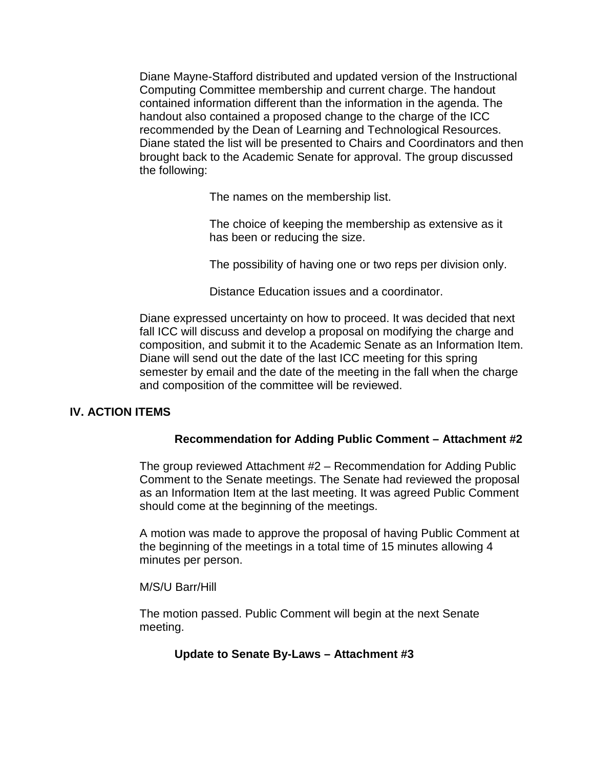Diane Mayne-Stafford distributed and updated version of the Instructional Computing Committee membership and current charge. The handout contained information different than the information in the agenda. The handout also contained a proposed change to the charge of the ICC recommended by the Dean of Learning and Technological Resources. Diane stated the list will be presented to Chairs and Coordinators and then brought back to the Academic Senate for approval. The group discussed the following:

The names on the membership list.

The choice of keeping the membership as extensive as it has been or reducing the size.

The possibility of having one or two reps per division only.

Distance Education issues and a coordinator.

Diane expressed uncertainty on how to proceed. It was decided that next fall ICC will discuss and develop a proposal on modifying the charge and composition, and submit it to the Academic Senate as an Information Item. Diane will send out the date of the last ICC meeting for this spring semester by email and the date of the meeting in the fall when the charge and composition of the committee will be reviewed.

#### **IV. ACTION ITEMS**

#### **Recommendation for Adding Public Comment – Attachment #2**

The group reviewed Attachment #2 – Recommendation for Adding Public Comment to the Senate meetings. The Senate had reviewed the proposal as an Information Item at the last meeting. It was agreed Public Comment should come at the beginning of the meetings.

A motion was made to approve the proposal of having Public Comment at the beginning of the meetings in a total time of 15 minutes allowing 4 minutes per person.

#### M/S/U Barr/Hill

The motion passed. Public Comment will begin at the next Senate meeting.

#### **Update to Senate By-Laws – Attachment #3**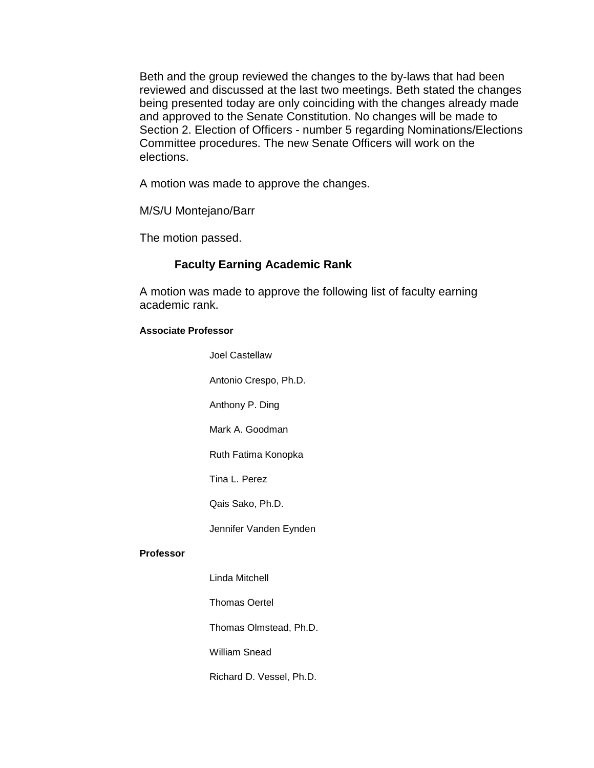Beth and the group reviewed the changes to the by-laws that had been reviewed and discussed at the last two meetings. Beth stated the changes being presented today are only coinciding with the changes already made and approved to the Senate Constitution. No changes will be made to Section 2. Election of Officers - number 5 regarding Nominations/Elections Committee procedures. The new Senate Officers will work on the elections.

A motion was made to approve the changes.

M/S/U Montejano/Barr

The motion passed.

#### **Faculty Earning Academic Rank**

A motion was made to approve the following list of faculty earning academic rank.

#### **Associate Professor**

Joel Castellaw

Antonio Crespo, Ph.D.

Anthony P. Ding

Mark A. Goodman

Ruth Fatima Konopka

Tina L. Perez

Qais Sako, Ph.D.

Jennifer Vanden Eynden

#### **Professor**

Linda Mitchell

Thomas Oertel

Thomas Olmstead, Ph.D.

William Snead

Richard D. Vessel, Ph.D.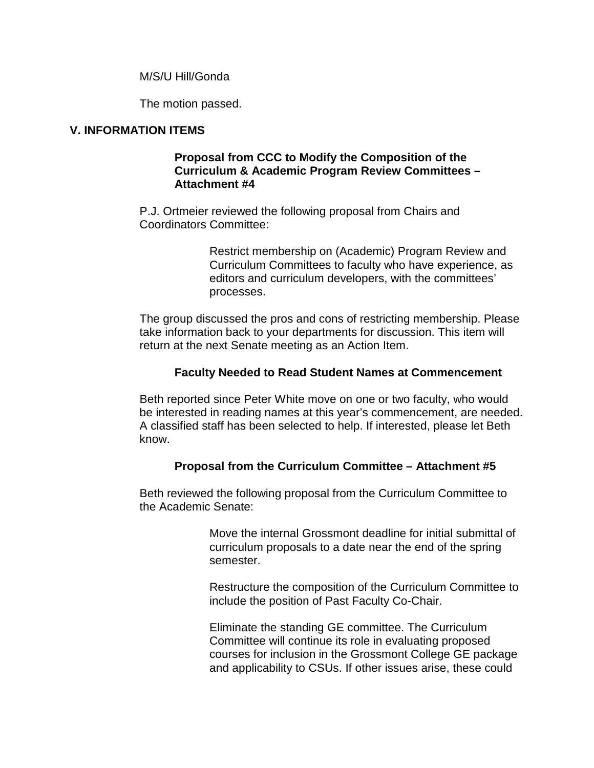M/S/U Hill/Gonda

The motion passed.

#### **V. INFORMATION ITEMS**

#### **Proposal from CCC to Modify the Composition of the Curriculum & Academic Program Review Committees – Attachment #4**

P.J. Ortmeier reviewed the following proposal from Chairs and Coordinators Committee:

> Restrict membership on (Academic) Program Review and Curriculum Committees to faculty who have experience, as editors and curriculum developers, with the committees' processes.

The group discussed the pros and cons of restricting membership. Please take information back to your departments for discussion. This item will return at the next Senate meeting as an Action Item.

#### **Faculty Needed to Read Student Names at Commencement**

Beth reported since Peter White move on one or two faculty, who would be interested in reading names at this year's commencement, are needed. A classified staff has been selected to help. If interested, please let Beth know.

#### **Proposal from the Curriculum Committee – Attachment #5**

Beth reviewed the following proposal from the Curriculum Committee to the Academic Senate:

> Move the internal Grossmont deadline for initial submittal of curriculum proposals to a date near the end of the spring semester.

Restructure the composition of the Curriculum Committee to include the position of Past Faculty Co-Chair.

Eliminate the standing GE committee. The Curriculum Committee will continue its role in evaluating proposed courses for inclusion in the Grossmont College GE package and applicability to CSUs. If other issues arise, these could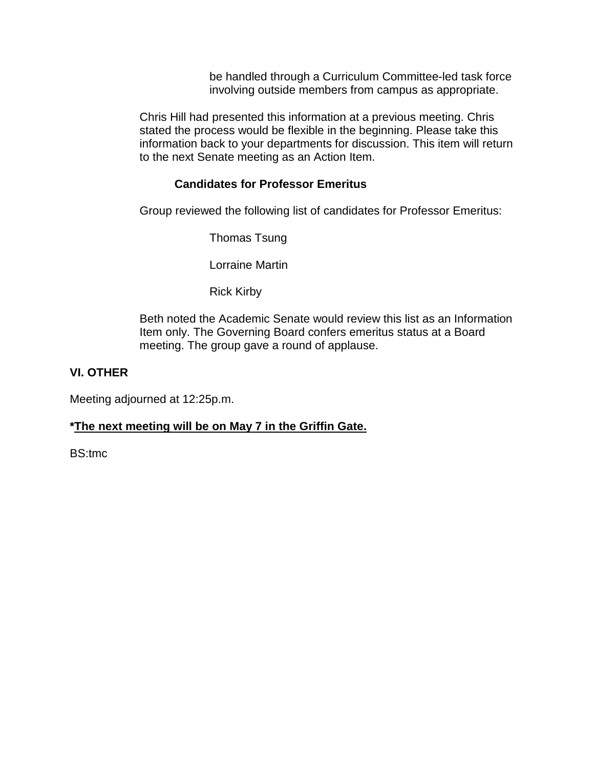be handled through a Curriculum Committee-led task force involving outside members from campus as appropriate.

Chris Hill had presented this information at a previous meeting. Chris stated the process would be flexible in the beginning. Please take this information back to your departments for discussion. This item will return to the next Senate meeting as an Action Item.

#### **Candidates for Professor Emeritus**

Group reviewed the following list of candidates for Professor Emeritus:

Thomas Tsung

Lorraine Martin

Rick Kirby

Beth noted the Academic Senate would review this list as an Information Item only. The Governing Board confers emeritus status at a Board meeting. The group gave a round of applause.

#### **VI. OTHER**

Meeting adjourned at 12:25p.m.

#### **\*The next meeting will be on May 7 in the Griffin Gate.**

BS:tmc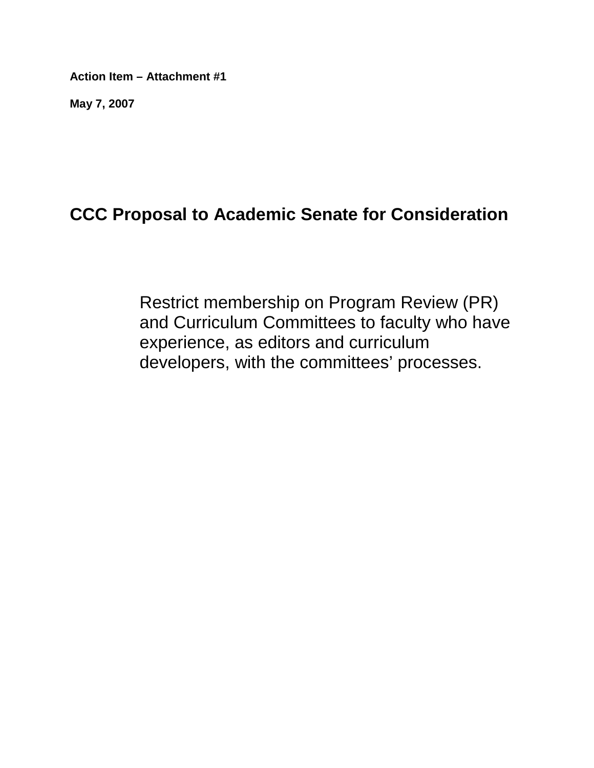**Action Item – Attachment #1**

**May 7, 2007**

# **CCC Proposal to Academic Senate for Consideration**

Restrict membership on Program Review (PR) and Curriculum Committees to faculty who have experience, as editors and curriculum developers, with the committees' processes.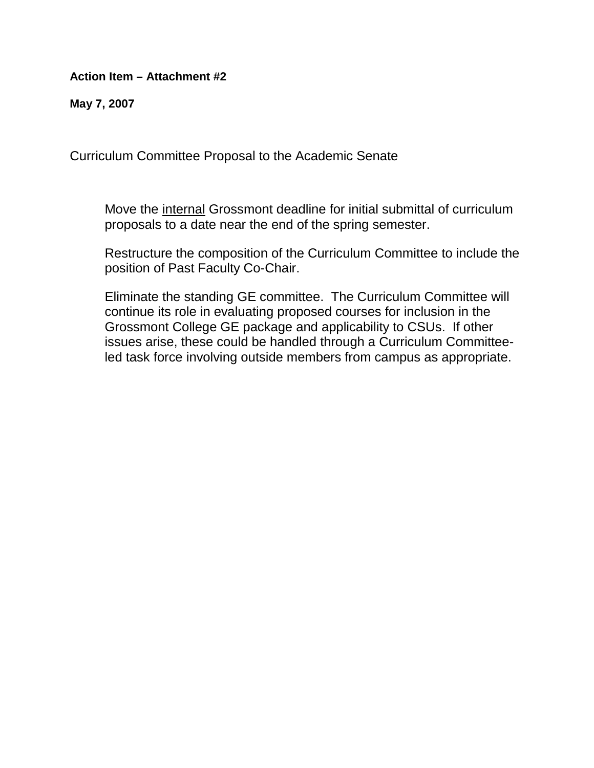**Action Item – Attachment #2**

**May 7, 2007**

Curriculum Committee Proposal to the Academic Senate

Move the internal Grossmont deadline for initial submittal of curriculum proposals to a date near the end of the spring semester.

Restructure the composition of the Curriculum Committee to include the position of Past Faculty Co-Chair.

Eliminate the standing GE committee. The Curriculum Committee will continue its role in evaluating proposed courses for inclusion in the Grossmont College GE package and applicability to CSUs. If other issues arise, these could be handled through a Curriculum Committeeled task force involving outside members from campus as appropriate.